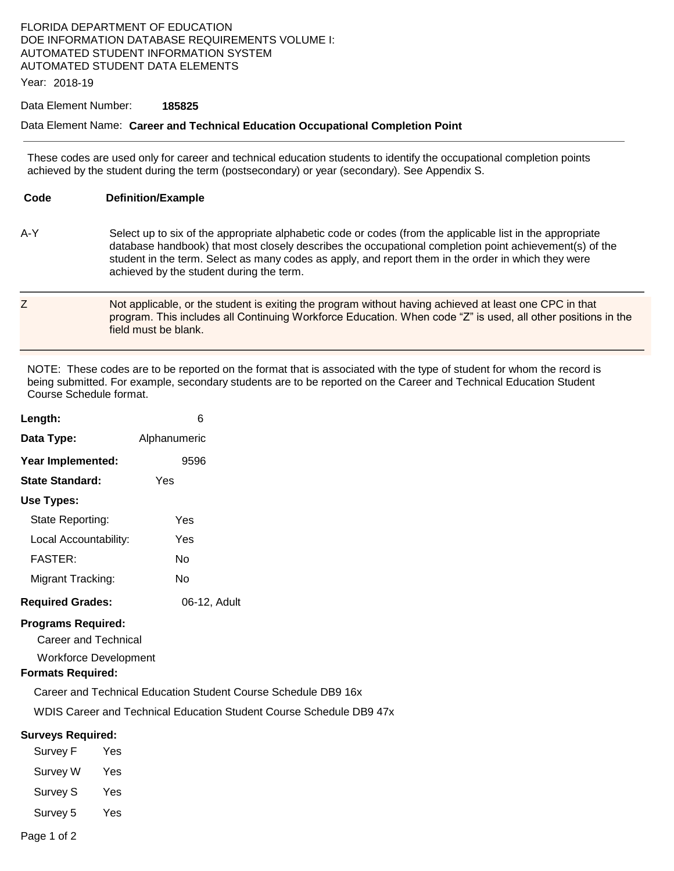## FLORIDA DEPARTMENT OF EDUCATION DOE INFORMATION DATABASE REQUIREMENTS VOLUME I: AUTOMATED STUDENT INFORMATION SYSTEM AUTOMATED STUDENT DATA ELEMENTS

Year: 2018-19

#### Data Element Number: **185825**

### Data Element Name: **Career and Technical Education Occupational Completion Point**

 These codes are used only for career and technical education students to identify the occupational completion points achieved by the student during the term (postsecondary) or year (secondary). See Appendix S.

**Code Definition/Example** 

- A-Y Select up to six of the appropriate alphabetic code or codes (from the applicable list in the appropriate database handbook) that most closely describes the occupational completion point achievement(s) of the student in the term. Select as many codes as apply, and report them in the order in which they were achieved by the student during the term.
- Z Not applicable, or the student is exiting the program without having achieved at least one CPC in that program. This includes all Continuing Workforce Education. When code "Z" is used, all other positions in the field must be blank.

 NOTE: These codes are to be reported on the format that is associated with the type of student for whom the record is being submitted. For example, secondary students are to be reported on the Career and Technical Education Student Course Schedule format.

| Length:                 | 6            |  |
|-------------------------|--------------|--|
| Data Type:              | Alphanumeric |  |
| Year Implemented:       | 9596         |  |
| <b>State Standard:</b>  | Yes          |  |
| Use Types:              |              |  |
| State Reporting:        | Yes          |  |
| Local Accountability:   | Yes          |  |
| <b>FASTER:</b>          | N٥           |  |
| Migrant Tracking:       | N٥           |  |
| <b>Required Grades:</b> | 06-12, Adult |  |

## **Programs Required:**

Career and Technical

Workforce Development

## **Formats Required:**

Career and Technical Education Student Course Schedule DB9 16x

WDIS Career and Technical Education Student Course Schedule DB9 47x

## **Surveys Required:**

| Survey F        | Yes |
|-----------------|-----|
| Survey W        | Yes |
| <b>Survey S</b> | Yes |
| Survey 5        | Yes |
|                 |     |